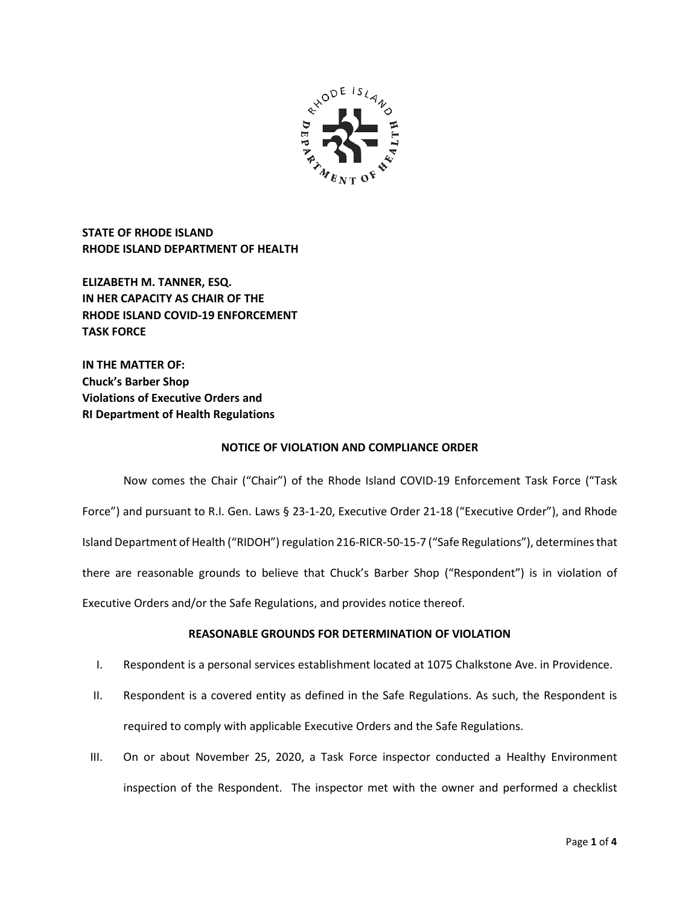

**STATE OF RHODE ISLAND RHODE ISLAND DEPARTMENT OF HEALTH**

**ELIZABETH M. TANNER, ESQ. IN HER CAPACITY AS CHAIR OF THE RHODE ISLAND COVID-19 ENFORCEMENT TASK FORCE** 

**IN THE MATTER OF: Chuck's Barber Shop Violations of Executive Orders and RI Department of Health Regulations**

### **NOTICE OF VIOLATION AND COMPLIANCE ORDER**

Now comes the Chair ("Chair") of the Rhode Island COVID-19 Enforcement Task Force ("Task Force") and pursuant to R.I. Gen. Laws § 23-1-20, Executive Order 21-18 ("Executive Order"), and Rhode Island Department of Health ("RIDOH") regulation 216-RICR-50-15-7 ("Safe Regulations"), determines that there are reasonable grounds to believe that Chuck's Barber Shop ("Respondent") is in violation of Executive Orders and/or the Safe Regulations, and provides notice thereof.

# **REASONABLE GROUNDS FOR DETERMINATION OF VIOLATION**

- I. Respondent is a personal services establishment located at 1075 Chalkstone Ave. in Providence.
- II. Respondent is a covered entity as defined in the Safe Regulations. As such, the Respondent is required to comply with applicable Executive Orders and the Safe Regulations.
- III. On or about November 25, 2020, a Task Force inspector conducted a Healthy Environment inspection of the Respondent. The inspector met with the owner and performed a checklist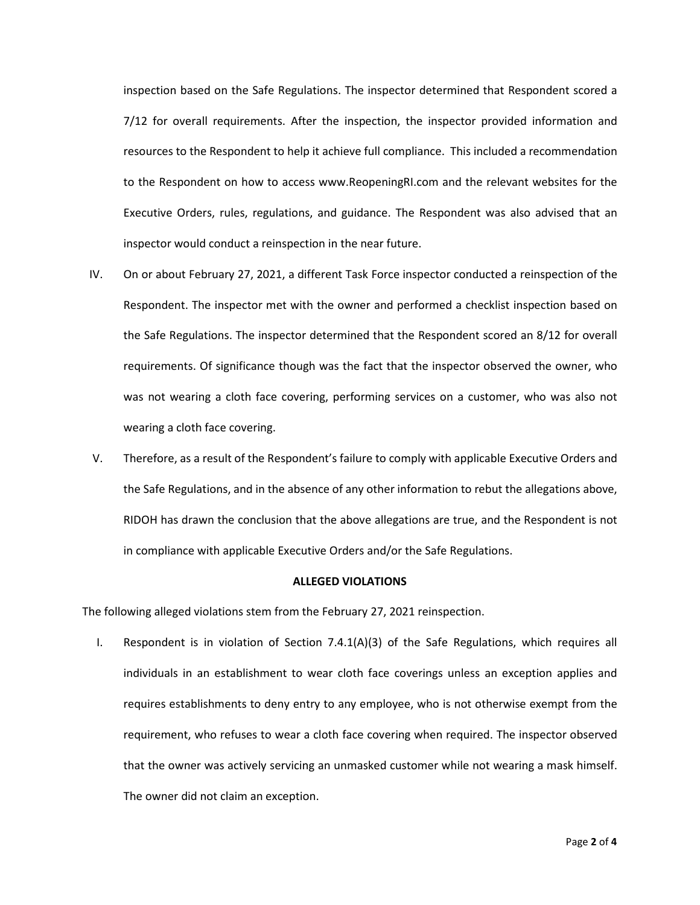inspection based on the Safe Regulations. The inspector determined that Respondent scored a 7/12 for overall requirements. After the inspection, the inspector provided information and resources to the Respondent to help it achieve full compliance. This included a recommendation to the Respondent on how to access www.ReopeningRI.com and the relevant websites for the Executive Orders, rules, regulations, and guidance. The Respondent was also advised that an inspector would conduct a reinspection in the near future.

- IV. On or about February 27, 2021, a different Task Force inspector conducted a reinspection of the Respondent. The inspector met with the owner and performed a checklist inspection based on the Safe Regulations. The inspector determined that the Respondent scored an 8/12 for overall requirements. Of significance though was the fact that the inspector observed the owner, who was not wearing a cloth face covering, performing services on a customer, who was also not wearing a cloth face covering.
- V. Therefore, as a result of the Respondent's failure to comply with applicable Executive Orders and the Safe Regulations, and in the absence of any other information to rebut the allegations above, RIDOH has drawn the conclusion that the above allegations are true, and the Respondent is not in compliance with applicable Executive Orders and/or the Safe Regulations.

#### **ALLEGED VIOLATIONS**

The following alleged violations stem from the February 27, 2021 reinspection.

I. Respondent is in violation of Section 7.4.1(A)(3) of the Safe Regulations, which requires all individuals in an establishment to wear cloth face coverings unless an exception applies and requires establishments to deny entry to any employee, who is not otherwise exempt from the requirement, who refuses to wear a cloth face covering when required. The inspector observed that the owner was actively servicing an unmasked customer while not wearing a mask himself. The owner did not claim an exception.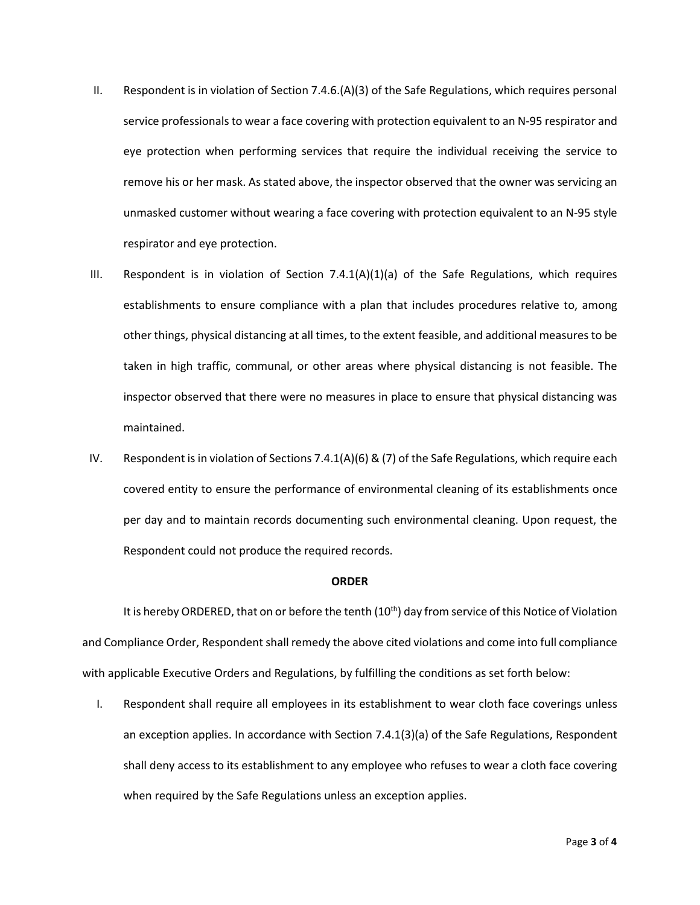- II. Respondent is in violation of Section 7.4.6.(A)(3) of the Safe Regulations, which requires personal service professionals to wear a face covering with protection equivalent to an N-95 respirator and eye protection when performing services that require the individual receiving the service to remove his or her mask. As stated above, the inspector observed that the owner was servicing an unmasked customer without wearing a face covering with protection equivalent to an N-95 style respirator and eye protection.
- III. Respondent is in violation of Section  $7.4.1(A)(1)(a)$  of the Safe Regulations, which requires establishments to ensure compliance with a plan that includes procedures relative to, among other things, physical distancing at all times, to the extent feasible, and additional measures to be taken in high traffic, communal, or other areas where physical distancing is not feasible. The inspector observed that there were no measures in place to ensure that physical distancing was maintained.
- IV. Respondent is in violation of Sections 7.4.1(A)(6) & (7) of the Safe Regulations, which require each covered entity to ensure the performance of environmental cleaning of its establishments once per day and to maintain records documenting such environmental cleaning. Upon request, the Respondent could not produce the required records.

#### **ORDER**

It is hereby ORDERED, that on or before the tenth (10<sup>th</sup>) day from service of this Notice of Violation and Compliance Order, Respondent shall remedy the above cited violations and come into full compliance with applicable Executive Orders and Regulations, by fulfilling the conditions as set forth below:

I. Respondent shall require all employees in its establishment to wear cloth face coverings unless an exception applies. In accordance with Section 7.4.1(3)(a) of the Safe Regulations, Respondent shall deny access to its establishment to any employee who refuses to wear a cloth face covering when required by the Safe Regulations unless an exception applies.